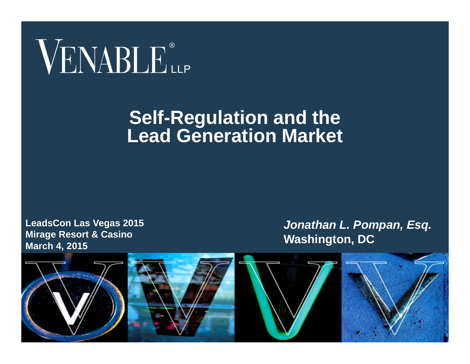# VENABLE®

#### **Self-Regulation and the Lead Generation Market**

**LeadsCon Las Vegas 2015 Mirage Resort & Casino March 4, 2015**

*Jonathan L. Pompan, Esq.* **Washington, DC**

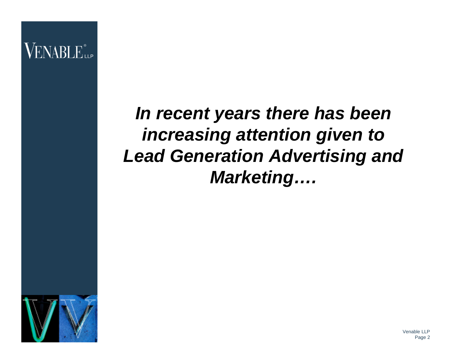

*In recent years there has been increasing attention given to Lead Generation Advertising and Marketing….*

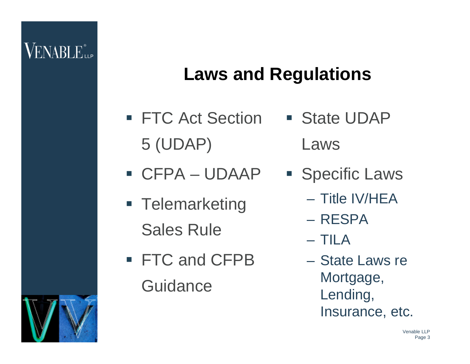## **Laws and Regulations**

- FTC Act Section State UDAP 5 (UDAP)
- CFPA UDAAP
- **Telemarketing** Sales Rule
- FTC and CFPB **Guidance**
- Laws
- **Specific Laws** 
	- Title IV/HEA
	- RESPA
	- TILA
	- State Laws re Mortgage, Lending, Insurance, etc.

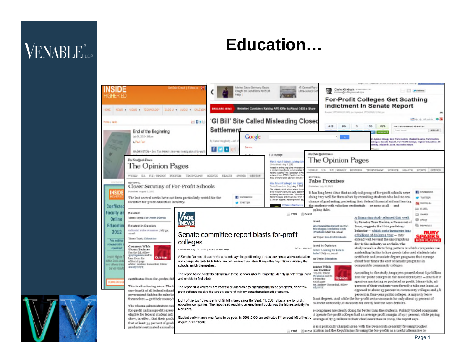#### Education...

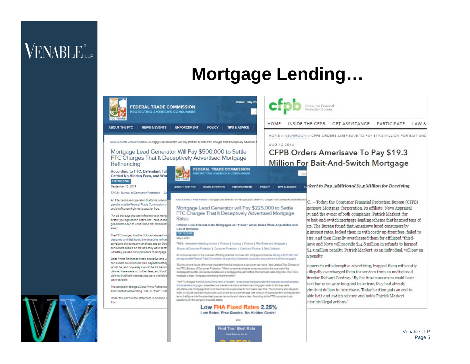#### **Mortgage Lending...**



ind Your Best Rate

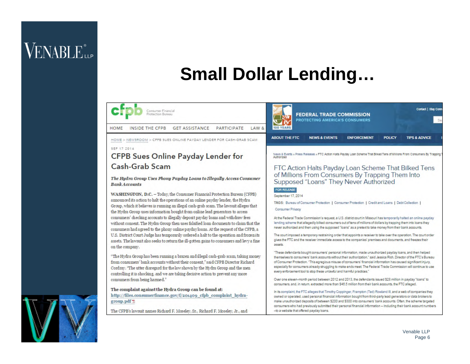#### **Small Dollar Lending...**



**PARTICIPATE** LAW & HOME INSIDE THE CFPB **GET ASSISTANCE** 

HOME > NEWSROOM > CFPB SUES ONLINE PAYDAY LENDER FOR CASH-GRAB SCAM **SEP 17 7014** 

#### CFPB Sues Online Payday Lender for Cash-Grab Scam

The Hudra Group Uses Phony Payday Loans to Illegally Access Consumer **Bank Accounts** 

WASHINGTON, D.C. - Today: the Consumer Financial Protection Bureau (CFPB) announced its action to halt the operations of an online payday lender, the Hydra Group, which it believes is running an illegal cash-grab scam. The lawsuit alleges that the Hydra Group uses information bought from online lead generators to access consumers' checking accounts to illegally deposit payday loans and with draw fees without consent. The Hydra Group then uses falsified loan documents to claim that the consumers had agreed to the phony online payday loans. At the request of the CFPB, a U.S. District Court Judge has temporarily ordered a halt to the operation and frozen its assets. The lawsuit also seeks to return the ill-gotten gains to consumers and levy a fine on the company.

"The Hydra Group has been running a brazen and illegal cash-grab scam, taking money from consumers' bank accounts without their consent." said CFPB Director Richard Cordray. "The utter disregard for the law shown by the Hydra Group and the men controlling it is shocking, and we are taking decisive action to prevent any more consumers from being harmed."

The complaint against the Hydra Group can be found at: http://files.consumerfinance.gov/f/201409\_cfpb\_complaint\_hydragroup.pdf %

The CFPB's lawsuit names Richard F. Moseley, Sr., Richard F. Moseley, Jr., and



News & Events » Press Releases » FTC Adon Halts Payday Loan Scheme That Bliked Tens of Millions From Consumers By Trapping Automati

#### FTC Action Halts Payday Loan Scheme That Bilked Tens of Millions From Consumers By Trapping Them Into Supposed "Loans" They Never Authorized

**FOR RELEASE** Sentember 17 2014

TAGS: Bureau of Consumer Protection | Consumer Protection | Credit and Loans | Debt Collection |

Consumer Privacy

At the Federal Trade Commission's request, a U.S. district court in Missouri has temporarily halted an online payday lending scheme that allegedly bilked consumers out of tens of millions of dollars by trapping them into Joans they never authorized and then using the supposed "loans" as a pretext to take money from their bank accounts.

The court imposed a temporary restraining order that appoints a receiver to take over the operation. The court order gives the FTC and the receiver immediate access to the companies' premises and documents, and freezes their assets

These defendants bought consumers' personal information, made unauthorized payday loans, and then helped themselves to consumers' bank accounts without their authorization," said Jessica Rich, Director of the FTC's Bureau of Consumer Protection. "This egregious misuse of consumers' financial information has caused significant injury, especially for consumers already struggling to make ends meet. The Federal Trade Commission will continue to use every enforcement tool to stop these unlawful and harmful practices."

Over one eleven-month period between 2012 and 2013, the defendants issued \$28 million in payday "loans" to consumers, and, in return, extracted more than \$46.5 million from their bank accounts, the FTC alleged.

In its complaint, the FTC alleges that Timothy Coppinger, Frampton (Ted) Rowland III, and a web of companies they owned or operated, used personal financial information bought from third-party lead generators or data brokers to make unauthorized deposits of between \$200 and \$300 into consumers' bank accounts. Often, the scheme targeted consumers who had previously submitted their personal financial information - including their bank account numbers -to a website that offered payday loans.



Contact | Stay Con

**TIPS & ADVICE**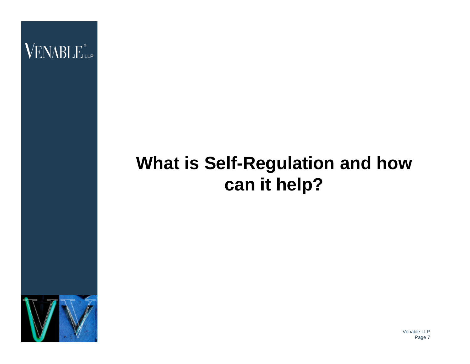

# **What is Self-Regulation and how can it help?**

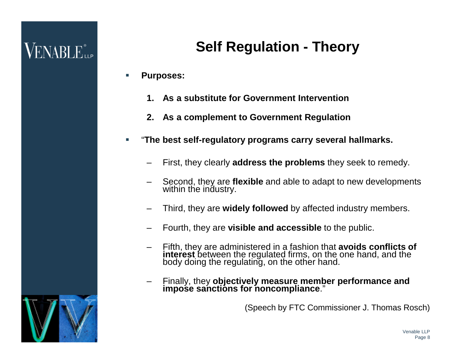#### **Self Regulation - Theory**

- **Purposes:**
	- **1. As a substitute for Government Intervention**
	- **2. As a complement to Government Regulation**
- "**The best self-regulatory programs carry several hallmarks.**
	- First, they clearly **address the problems** they seek to remedy.
	- Second, they are **flexible** and able to adapt to new developments within the industry.
	- Third, they are **widely followed** by affected industry members.
	- Fourth, they are **visible and accessible** to the public.
	- Fifth, they are administered in a fashion that **avoids conflicts of interest** between the regulated firms, on the one hand, and the body doing the regulating, on the other hand.
	- Finally, they **objectively measure member performance and impose sanctions for noncompliance**."

(Speech by FTC Commissioner J. Thomas Rosch)

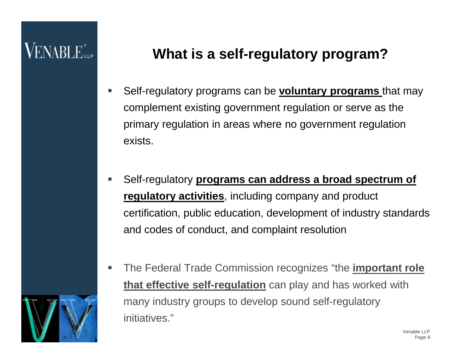# VENABLE"

#### **What is a self-regulatory program?**

- Self-regulatory programs can be **voluntary programs** that may complement existing government regulation or serve as the primary regulation in areas where no government regulation exists.
- Self-regulatory **programs can address a broad spectrum of regulatory activities**, including company and product certification, public education, development of industry standards and codes of conduct, and complaint resolution
- The Federal Trade Commission recognizes "the **important role that effective self-regulation** can play and has worked with many industry groups to develop sound self-regulatory initiatives."

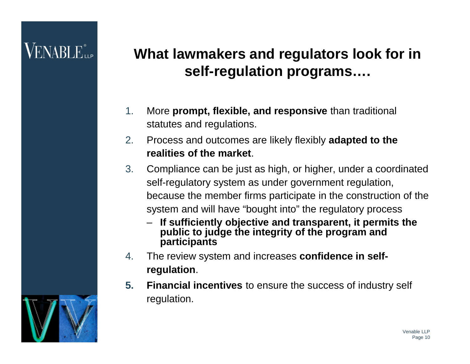#### **What lawmakers and regulators look for in self-regulation programs….**

- 1. More **prompt, flexible, and responsive** than traditional statutes and regulations.
- 2. Process and outcomes are likely flexibly **adapted to the realities of the market**.
- 3. Compliance can be just as high, or higher, under a coordinated self-regulatory system as under government regulation, because the member firms participate in the construction of the system and will have "bought into" the regulatory process
	- **If sufficiently objective and transparent, it permits the public to judge the integrity of the program and participants**
- 4. The review system and increases **confidence in selfregulation**.
- **5. Financial incentives** to ensure the success of industry self regulation.

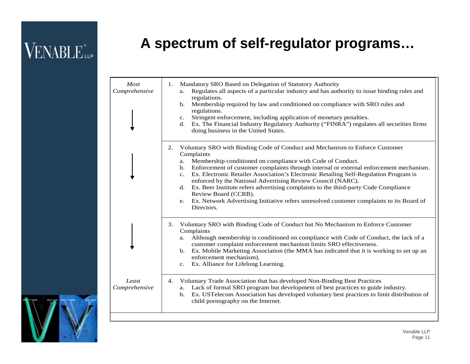#### **A spectrum of self-regulator programs…**

| Most<br>Comprehensive  | Mandatory SRO Based on Delegation of Statutory Authority<br>1.<br>Regulates all aspects of a particular industry and has authority to issue binding rules and<br>a.<br>regulations.<br>Membership required by law and conditioned on compliance with SRO rules and<br>$\mathbf{b}$ .<br>regulations.<br>Stringent enforcement, including application of monetary penalties.<br>$\mathbf{c}$ .<br>Ex. The Financial Industry Regulatory Authority ("FINRA") regulates all securities firms<br>d.<br>doing business in the United States.                                                                                                                                       |
|------------------------|-------------------------------------------------------------------------------------------------------------------------------------------------------------------------------------------------------------------------------------------------------------------------------------------------------------------------------------------------------------------------------------------------------------------------------------------------------------------------------------------------------------------------------------------------------------------------------------------------------------------------------------------------------------------------------|
|                        | Voluntary SRO with Binding Code of Conduct and Mechanism to Enforce Customer<br>2.<br>Complaints<br>Membership conditioned on compliance with Code of Conduct.<br>a.<br>Enforcement of customer complaints through internal or external enforcement mechanism.<br>$\mathbf{b}$ .<br>Ex. Electronic Retailer Association's Electronic Retailing Self-Regulation Program is<br>c.<br>enforced by the National Advertising Review Council (NARC).<br>d. Ex. Beer Institute refers advertising complaints to the third-party Code Compliance<br>Review Board (CCRB).<br>e. Ex. Network Advertising Initiative refers unresolved customer complaints to its Board of<br>Directors. |
|                        | 3.<br>Voluntary SRO with Binding Code of Conduct but No Mechanism to Enforce Customer<br>Complaints<br>Although membership is conditioned on compliance with Code of Conduct, the lack of a<br>a.<br>customer complaint enforcement mechanism limits SRO effectiveness.<br>b. Ex. Mobile Marketing Association (the MMA has indicated that it is working to set up an<br>enforcement mechanism).<br>Ex. Alliance for Lifelong Learning.<br>$c_{\cdot}$                                                                                                                                                                                                                        |
| Least<br>Comprehensive | Voluntary Trade Association that has developed Non-Binding Best Practices<br>4.<br>Lack of formal SRO program but development of best practices to guide industry.<br>a.<br>Ex. USTelecom Association has developed voluntary best practices to limit distribution of<br>$\mathbf{b}$ .<br>child pornography on the Internet.                                                                                                                                                                                                                                                                                                                                                 |

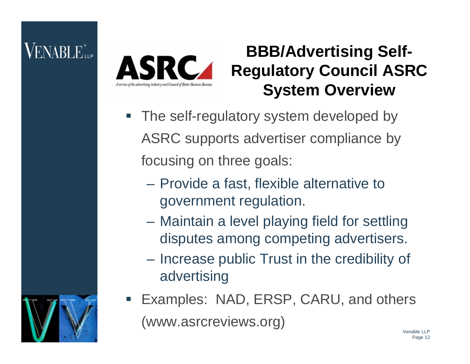# VENABLE"...



#### **BBB/Advertising Self-Regulatory Council ASRC System Overview**

- **The self-regulatory system developed by** ASRC supports advertiser compliance by focusing on three goals:
	- Provide a fast, flexible alternative to government regulation.
	- Maintain a level playing field for settling disputes among competing advertisers.
	- Increase public Trust in the credibility of advertising
- Examples: NAD, ERSP, CARU, and others (www.asrcreviews.org)

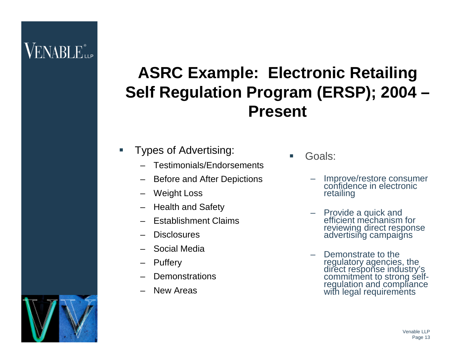### $\rm VENABLE$  ilp

#### **ASRC Example: Electronic Retailing Self Regulation Program (ERSP); 2004 – Present**

- **Types of Advertising:** 
	- Testimonials/Endorsements
	- Before and After Depictions
	- Weight Loss
	- Health and Safety
	- Establishment Claims
	- Disclosures
	- Social Media
	- Puffery
	- **Demonstrations**
	- New Areas

Goals:

- Improve/restore consumer confidence in electronic retailing
- Provide a quick and efficient mechanism for reviewing direct response advertising campaigns
- Demonstrate to the regulatory agencies, the direct response industry's commitment to strong selfregulation and compliance with legal requirements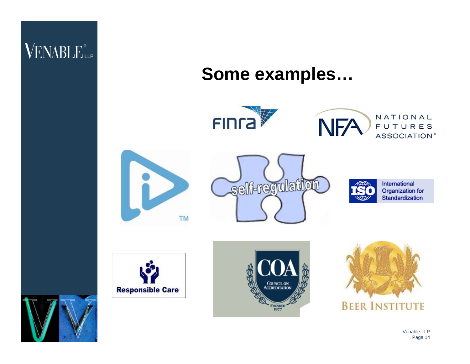

#### **Some examples…**





NATIONAL FUTURES ASSOCIATION<sup>®</sup>







International Organization for Standardization